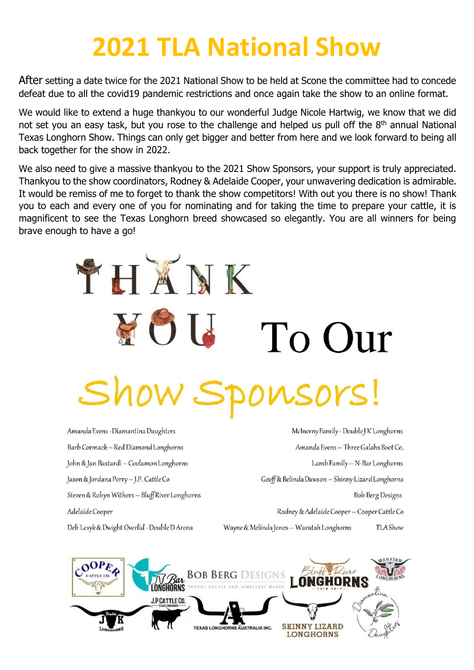## **2021 TLA National Show**

After setting a date twice for the 2021 National Show to be held at Scone the committee had to concede defeat due to all the covid19 pandemic restrictions and once again take the show to an online format.

We would like to extend a huge thankyou to our wonderful Judge Nicole Hartwig, we know that we did not set you an easy task, but you rose to the challenge and helped us pull off the 8<sup>th</sup> annual National Texas Longhorn Show. Things can only get bigger and better from here and we look forward to being all back together for the show in 2022.

We also need to give a massive thankyou to the 2021 Show Sponsors, your support is truly appreciated. Thankyou to the show coordinators, Rodney & Adelaide Cooper, your unwavering dedication is admirable. It would be remiss of me to forget to thank the show competitors! With out you there is no show! Thank you to each and every one of you for nominating and for taking the time to prepare your cattle, it is magnificent to see the Texas Longhorn breed showcased so elegantly. You are all winners for being brave enough to have a go!

# THXNK FOI To Our ponsors! Show S

Amanda Evens - Diamantina Daughters Barb Cormack - Red Diamond Longhorns John & Jan Bastardi - Coolamon Longhorns Jason & Jordana Perry-J.P. Cattle Co Steven & Robyn Withers - Bluff River Longhorns Adelaide Cooper Deb Lesyk & Dwight Overlid - Double D Arena

McInerny Family - Double J K Longhorns Amanda Evens - Three Galahs Boot Co. Lamb Family - N-Bar Longhorns Geoff& Belinda Dawson - Skinny Lizard Longhorns **Bob Berg Designs** Rodney & Adelaide Cooper - Cooper Cattle Co Wayne & Melinda Jones - Waratah Longhorns **TLAShow** 

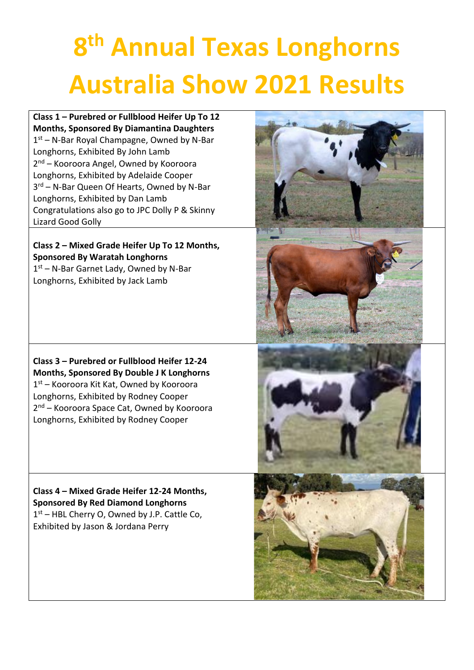# **8 th Annual Texas Longhorns Australia Show 2021 Results**

#### **Class 1 – Purebred or Fullblood Heifer Up To 12 Months, Sponsored By Diamantina Daughters**

1 st – N-Bar Royal Champagne, Owned by N-Bar Longhorns, Exhibited By John Lamb 2<sup>nd</sup> – Kooroora Angel, Owned by Kooroora Longhorns, Exhibited by Adelaide Cooper 3<sup>rd</sup> – N-Bar Queen Of Hearts, Owned by N-Bar Longhorns, Exhibited by Dan Lamb Congratulations also go to JPC Dolly P & Skinny Lizard Good Golly

#### **Class 2 – Mixed Grade Heifer Up To 12 Months, Sponsored By Waratah Longhorns**

1 st – N-Bar Garnet Lady, Owned by N-Bar Longhorns, Exhibited by Jack Lamb

**Class 3 – Purebred or Fullblood Heifer 12-24 Months, Sponsored By Double J K Longhorns** 1 st – Kooroora Kit Kat, Owned by Kooroora Longhorns, Exhibited by Rodney Cooper 2<sup>nd</sup> – Kooroora Space Cat, Owned by Kooroora Longhorns, Exhibited by Rodney Cooper

#### **Class 4 – Mixed Grade Heifer 12-24 Months, Sponsored By Red Diamond Longhorns** 1 st – HBL Cherry O, Owned by J.P. Cattle Co, Exhibited by Jason & Jordana Perry

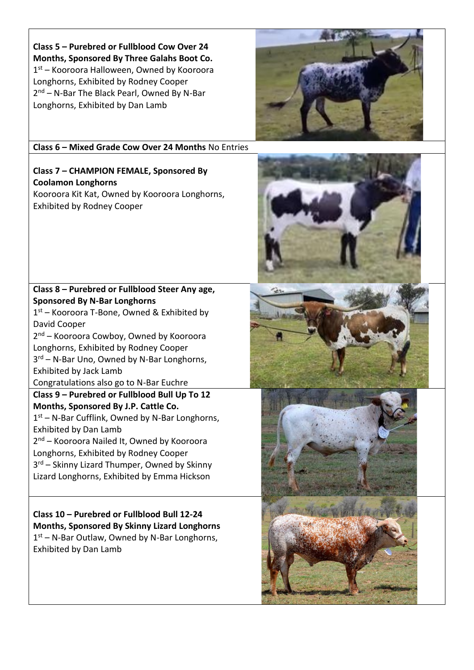**Class 5 – Purebred or Fullblood Cow Over 24 Months, Sponsored By Three Galahs Boot Co.** 1 st – Kooroora Halloween, Owned by Kooroora Longhorns, Exhibited by Rodney Cooper 2<sup>nd</sup> – N-Bar The Black Pearl, Owned By N-Bar Longhorns, Exhibited by Dan Lamb

**Class 6 – Mixed Grade Cow Over 24 Months** No Entries

#### **Class 7 – CHAMPION FEMALE, Sponsored By Coolamon Longhorns**

Kooroora Kit Kat, Owned by Kooroora Longhorns, Exhibited by Rodney Cooper

#### **Class 8 – Purebred or Fullblood Steer Any age, Sponsored By N-Bar Longhorns**

1 st – Kooroora T-Bone, Owned & Exhibited by David Cooper

2 nd – Kooroora Cowboy, Owned by Kooroora Longhorns, Exhibited by Rodney Cooper 3<sup>rd</sup> – N-Bar Uno, Owned by N-Bar Longhorns, Exhibited by Jack Lamb

Congratulations also go to N-Bar Euchre

#### **Class 9 – Purebred or Fullblood Bull Up To 12 Months, Sponsored By J.P. Cattle Co.**

1<sup>st</sup> – N-Bar Cufflink, Owned by N-Bar Longhorns, Exhibited by Dan Lamb

2<sup>nd</sup> – Kooroora Nailed It, Owned by Kooroora Longhorns, Exhibited by Rodney Cooper 3<sup>rd</sup> – Skinny Lizard Thumper, Owned by Skinny Lizard Longhorns, Exhibited by Emma Hickson

**Class 10 – Purebred or Fullblood Bull 12-24 Months, Sponsored By Skinny Lizard Longhorns** 1 st – N-Bar Outlaw, Owned by N-Bar Longhorns, Exhibited by Dan Lamb







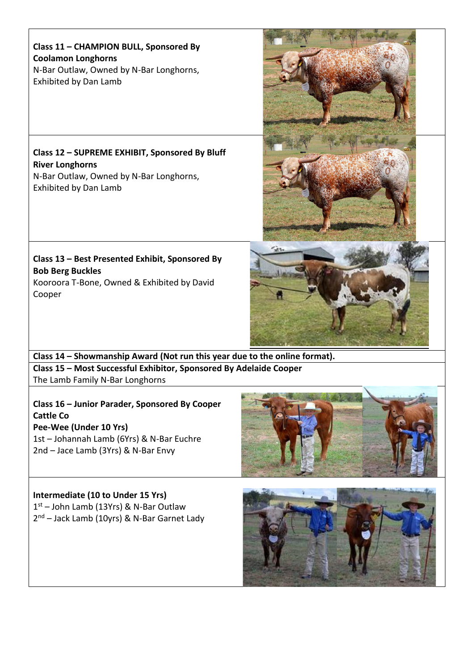**Class 11 – CHAMPION BULL, Sponsored By Coolamon Longhorns** N-Bar Outlaw, Owned by N-Bar Longhorns, Exhibited by Dan Lamb

### **Class 12 – SUPREME EXHIBIT, Sponsored By Bluff River Longhorns**

N-Bar Outlaw, Owned by N-Bar Longhorns, Exhibited by Dan Lamb

#### **Class 13 – Best Presented Exhibit, Sponsored By Bob Berg Buckles** Kooroora T-Bone, Owned & Exhibited by David

Cooper

**Class 14 – Showmanship Award (Not run this year due to the online format). Class 15 – Most Successful Exhibitor, Sponsored By Adelaide Cooper** The Lamb Family N-Bar Longhorns

**Class 16 – Junior Parader, Sponsored By Cooper Cattle Co Pee-Wee (Under 10 Yrs)** 1st – Johannah Lamb (6Yrs) & N-Bar Euchre

2nd – Jace Lamb (3Yrs) & N-Bar Envy

### **Intermediate (10 to Under 15 Yrs)**

1 st – John Lamb (13Yrs) & N-Bar Outlaw 2<sup>nd</sup> – Jack Lamb (10yrs) & N-Bar Garnet Lady